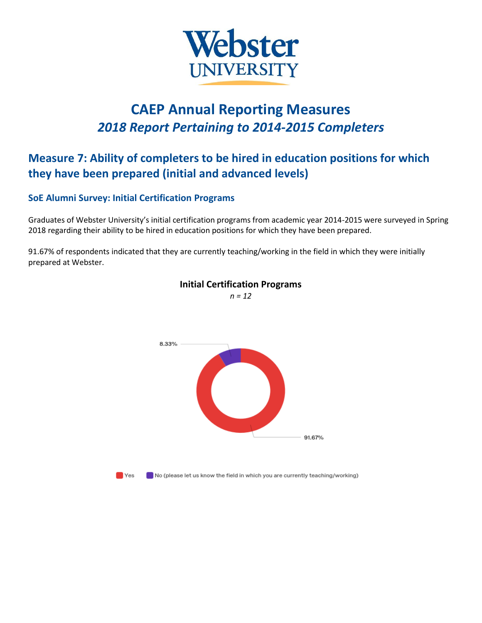

# **CAEP Annual Reporting Measures** *2018 Report Pertaining to 2014-2015 Completers*

## **Measure 7: Ability of completers to be hired in education positions for which they have been prepared (initial and advanced levels)**

## **SoE Alumni Survey: Initial Certification Programs**

Graduates of Webster University's initial certification programs from academic year 2014-2015 were surveyed in Spring 2018 regarding their ability to be hired in education positions for which they have been prepared.

91.67% of respondents indicated that they are currently teaching/working in the field in which they were initially prepared at Webster.



#### **Initial Certification Programs** *n = 12*